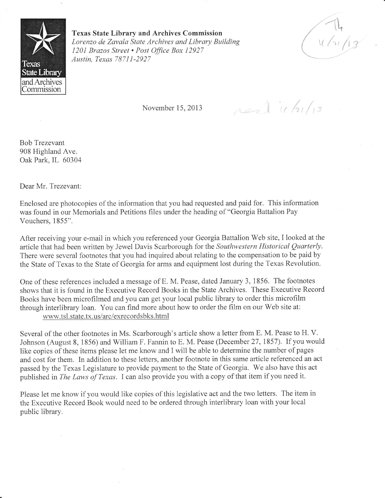

Texas State Library and Archives Commission Lorenzo de Zavala State Archives and Library Building 1201 Brazos Street . Post Office Box 12927 Austin, Texas 78711-2927

f""  $\overline{\phantom{a}}$  $\setminus$  $u / v / 13$ 

November 15,2013

real 11/21/13

Bob Trezevant 908 Highland Ave. Oak Park, IL 60304

Dear Mr. Trezevant:

Enclosed are photocopies of the information that you had requested and paid for. This information was found in our Memorials and Petitions files under the heading of "Georgia Battalion Pay Vouchers, 1855".

After receiving your e-mail in which you referenced your Georgia Battalion Web site, I looked at the article that had been written by Jewel Davis Scarborough for the Southwestern Historical Quarterly. There were several footnotes that you had inquired about relating to the compensation to be paid by the State of Texas to the State of Georgia for arms and equipment lost during the Texas Revolution.

One of these references included a message of E, M. Pease, dated January 3, 1856. The footnotes shows that it is found in the Executive Record Books in the State Archives. These Executive Record Books have been microfilmed and you can get your local public library to order this microfilm through interlibrary loan, You can find more about how to order the film on our Web site at: www.tsl. state. tx.us/arc/exrecordsbks.html

Several of the other footnotes in Ms. Scarborough's article show a letter from E. M. Pease to H. V. Johnson (August 8, 1856) and William F. Fannin to E. M. Pease (December 27,1857). If you would like copies of these items please let me know and I will be able to determine the number of pages and cost for them. In addition to these letters, another footnote in this same article referenced an act passed by the Texas Legislature to provide payment to the State of Georgia. We also have this act published in *The Laws of Texas*. I can also provide you with a copy of that item if you need it.

Please let me know if you would like copies of this legislative act and the two letters. The item in the Executive Record Book would need to be ordered through interlibrary loan with your local public library.